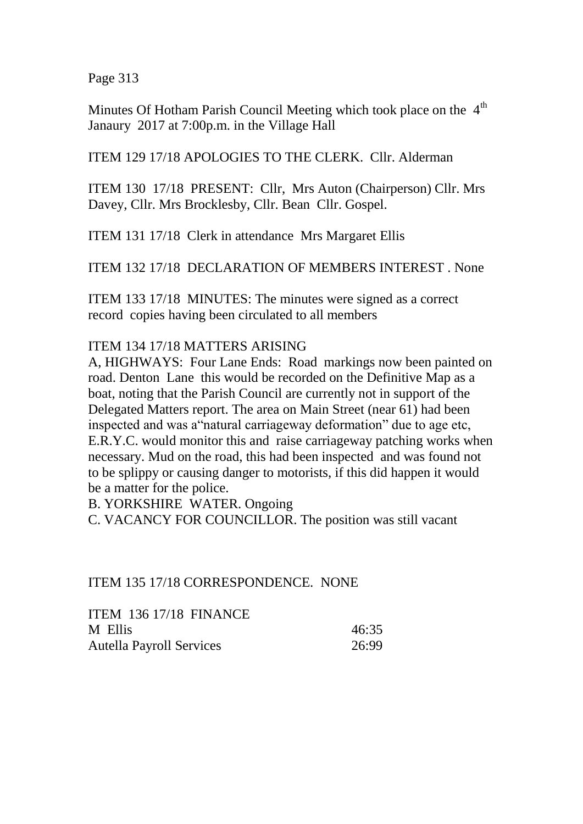Page 313

Minutes Of Hotham Parish Council Meeting which took place on the  $4<sup>th</sup>$ Janaury 2017 at 7:00p.m. in the Village Hall

ITEM 129 17/18 APOLOGIES TO THE CLERK. Cllr. Alderman

ITEM 130 17/18 PRESENT: Cllr, Mrs Auton (Chairperson) Cllr. Mrs Davey, Cllr. Mrs Brocklesby, Cllr. Bean Cllr. Gospel.

ITEM 131 17/18 Clerk in attendance Mrs Margaret Ellis

ITEM 132 17/18 DECLARATION OF MEMBERS INTEREST . None

ITEM 133 17/18 MINUTES: The minutes were signed as a correct record copies having been circulated to all members

## ITEM 134 17/18 MATTERS ARISING

A, HIGHWAYS: Four Lane Ends: Road markings now been painted on road. Denton Lane this would be recorded on the Definitive Map as a boat, noting that the Parish Council are currently not in support of the Delegated Matters report. The area on Main Street (near 61) had been inspected and was a"natural carriageway deformation" due to age etc, E.R.Y.C. would monitor this and raise carriageway patching works when necessary. Mud on the road, this had been inspected and was found not to be splippy or causing danger to motorists, if this did happen it would be a matter for the police.

B. YORKSHIRE WATER. Ongoing

C. VACANCY FOR COUNCILLOR. The position was still vacant

## ITEM 135 17/18 CORRESPONDENCE. NONE

| <b>ITEM 136 17/18 FINANCE</b>   |       |
|---------------------------------|-------|
| M Ellis                         | 46:35 |
| <b>Autella Payroll Services</b> | 26:99 |